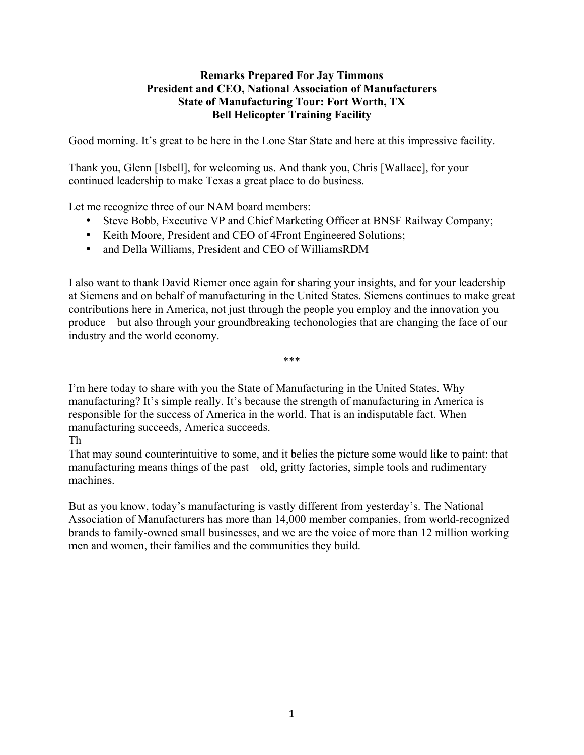## **Remarks Prepared For Jay Timmons President and CEO, National Association of Manufacturers State of Manufacturing Tour: Fort Worth, TX Bell Helicopter Training Facility**

Good morning. It's great to be here in the Lone Star State and here at this impressive facility.

Thank you, Glenn [Isbell], for welcoming us. And thank you, Chris [Wallace], for your continued leadership to make Texas a great place to do business.

Let me recognize three of our NAM board members:

- Steve Bobb, Executive VP and Chief Marketing Officer at BNSF Railway Company;
- Keith Moore, President and CEO of 4Front Engineered Solutions;
- and Della Williams, President and CEO of WilliamsRDM

I also want to thank David Riemer once again for sharing your insights, and for your leadership at Siemens and on behalf of manufacturing in the United States. Siemens continues to make great contributions here in America, not just through the people you employ and the innovation you produce—but also through your groundbreaking techonologies that are changing the face of our industry and the world economy.

\*\*\*

I'm here today to share with you the State of Manufacturing in the United States. Why manufacturing? It's simple really. It's because the strength of manufacturing in America is responsible for the success of America in the world. That is an indisputable fact. When manufacturing succeeds, America succeeds.

Th

That may sound counterintuitive to some, and it belies the picture some would like to paint: that manufacturing means things of the past—old, gritty factories, simple tools and rudimentary machines.

But as you know, today's manufacturing is vastly different from yesterday's. The National Association of Manufacturers has more than 14,000 member companies, from world-recognized brands to family-owned small businesses, and we are the voice of more than 12 million working men and women, their families and the communities they build.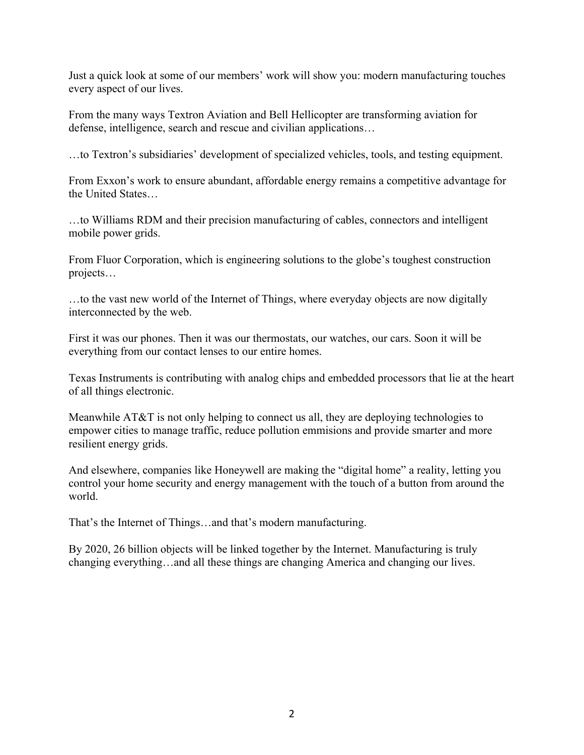Just a quick look at some of our members' work will show you: modern manufacturing touches every aspect of our lives.

From the many ways Textron Aviation and Bell Hellicopter are transforming aviation for defense, intelligence, search and rescue and civilian applications…

…to Textron's subsidiaries' development of specialized vehicles, tools, and testing equipment.

From Exxon's work to ensure abundant, affordable energy remains a competitive advantage for the United States…

…to Williams RDM and their precision manufacturing of cables, connectors and intelligent mobile power grids.

From Fluor Corporation, which is engineering solutions to the globe's toughest construction projects…

…to the vast new world of the Internet of Things, where everyday objects are now digitally interconnected by the web.

First it was our phones. Then it was our thermostats, our watches, our cars. Soon it will be everything from our contact lenses to our entire homes.

Texas Instruments is contributing with analog chips and embedded processors that lie at the heart of all things electronic.

Meanwhile AT&T is not only helping to connect us all, they are deploying technologies to empower cities to manage traffic, reduce pollution emmisions and provide smarter and more resilient energy grids.

And elsewhere, companies like Honeywell are making the "digital home" a reality, letting you control your home security and energy management with the touch of a button from around the world.

That's the Internet of Things…and that's modern manufacturing.

By 2020, 26 billion objects will be linked together by the Internet. Manufacturing is truly changing everything…and all these things are changing America and changing our lives.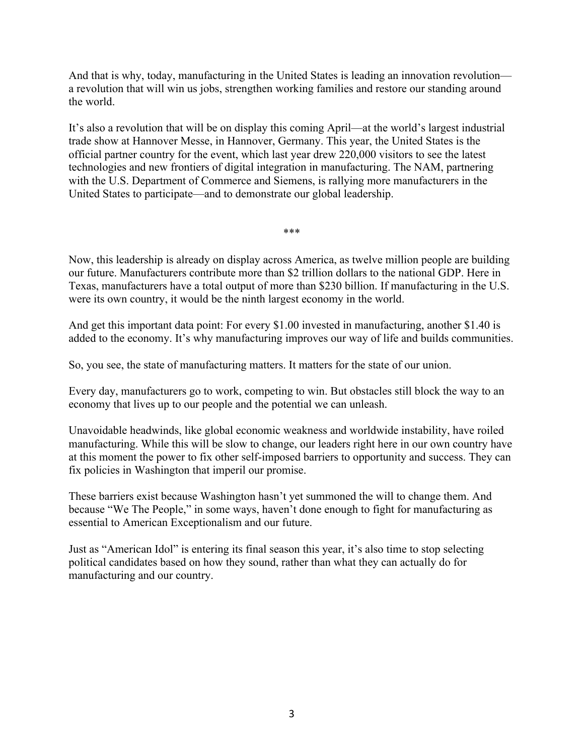And that is why, today, manufacturing in the United States is leading an innovation revolution a revolution that will win us jobs, strengthen working families and restore our standing around the world.

It's also a revolution that will be on display this coming April—at the world's largest industrial trade show at Hannover Messe, in Hannover, Germany. This year, the United States is the official partner country for the event, which last year drew 220,000 visitors to see the latest technologies and new frontiers of digital integration in manufacturing. The NAM, partnering with the U.S. Department of Commerce and Siemens, is rallying more manufacturers in the United States to participate—and to demonstrate our global leadership.

\*\*\*

Now, this leadership is already on display across America, as twelve million people are building our future. Manufacturers contribute more than \$2 trillion dollars to the national GDP. Here in Texas, manufacturers have a total output of more than \$230 billion. If manufacturing in the U.S. were its own country, it would be the ninth largest economy in the world.

And get this important data point: For every \$1.00 invested in manufacturing, another \$1.40 is added to the economy. It's why manufacturing improves our way of life and builds communities.

So, you see, the state of manufacturing matters. It matters for the state of our union.

Every day, manufacturers go to work, competing to win. But obstacles still block the way to an economy that lives up to our people and the potential we can unleash.

Unavoidable headwinds, like global economic weakness and worldwide instability, have roiled manufacturing. While this will be slow to change, our leaders right here in our own country have at this moment the power to fix other self-imposed barriers to opportunity and success. They can fix policies in Washington that imperil our promise.

These barriers exist because Washington hasn't yet summoned the will to change them. And because "We The People," in some ways, haven't done enough to fight for manufacturing as essential to American Exceptionalism and our future.

Just as "American Idol" is entering its final season this year, it's also time to stop selecting political candidates based on how they sound, rather than what they can actually do for manufacturing and our country.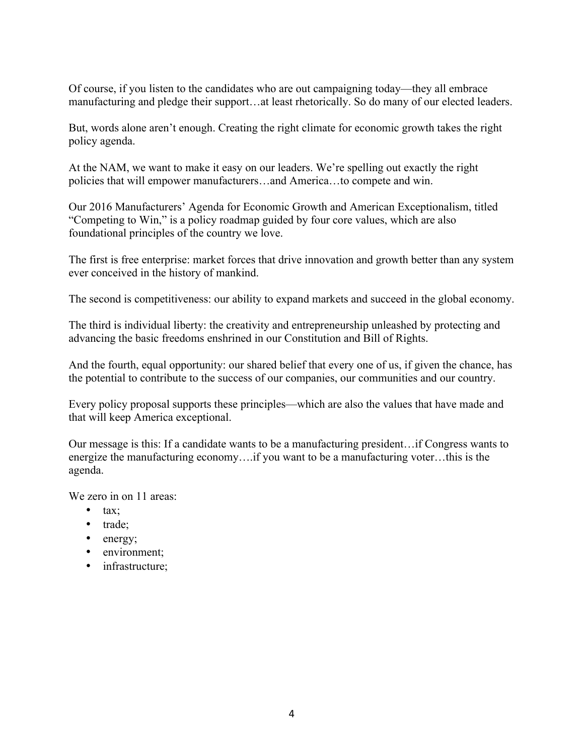Of course, if you listen to the candidates who are out campaigning today—they all embrace manufacturing and pledge their support…at least rhetorically. So do many of our elected leaders.

But, words alone aren't enough. Creating the right climate for economic growth takes the right policy agenda.

At the NAM, we want to make it easy on our leaders. We're spelling out exactly the right policies that will empower manufacturers…and America…to compete and win.

Our 2016 Manufacturers' Agenda for Economic Growth and American Exceptionalism, titled "Competing to Win," is a policy roadmap guided by four core values, which are also foundational principles of the country we love.

The first is free enterprise: market forces that drive innovation and growth better than any system ever conceived in the history of mankind.

The second is competitiveness: our ability to expand markets and succeed in the global economy.

The third is individual liberty: the creativity and entrepreneurship unleashed by protecting and advancing the basic freedoms enshrined in our Constitution and Bill of Rights.

And the fourth, equal opportunity: our shared belief that every one of us, if given the chance, has the potential to contribute to the success of our companies, our communities and our country.

Every policy proposal supports these principles—which are also the values that have made and that will keep America exceptional.

Our message is this: If a candidate wants to be a manufacturing president…if Congress wants to energize the manufacturing economy….if you want to be a manufacturing voter…this is the agenda.

We zero in on 11 areas:

- $\bullet$  tax:
- trade;
- energy;
- environment;
- infrastructure: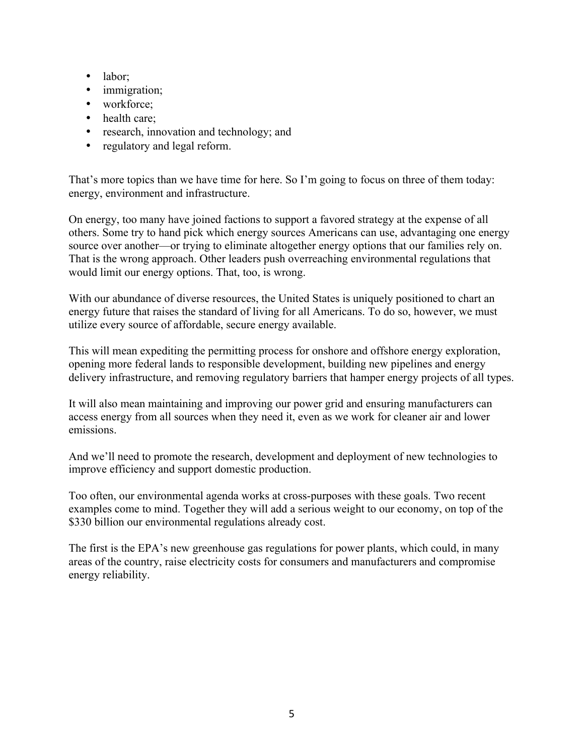- labor;
- immigration;
- workforce;
- health care;
- research, innovation and technology; and
- regulatory and legal reform.

That's more topics than we have time for here. So I'm going to focus on three of them today: energy, environment and infrastructure.

On energy, too many have joined factions to support a favored strategy at the expense of all others. Some try to hand pick which energy sources Americans can use, advantaging one energy source over another—or trying to eliminate altogether energy options that our families rely on. That is the wrong approach. Other leaders push overreaching environmental regulations that would limit our energy options. That, too, is wrong.

With our abundance of diverse resources, the United States is uniquely positioned to chart an energy future that raises the standard of living for all Americans. To do so, however, we must utilize every source of affordable, secure energy available.

This will mean expediting the permitting process for onshore and offshore energy exploration, opening more federal lands to responsible development, building new pipelines and energy delivery infrastructure, and removing regulatory barriers that hamper energy projects of all types.

It will also mean maintaining and improving our power grid and ensuring manufacturers can access energy from all sources when they need it, even as we work for cleaner air and lower emissions.

And we'll need to promote the research, development and deployment of new technologies to improve efficiency and support domestic production.

Too often, our environmental agenda works at cross-purposes with these goals. Two recent examples come to mind. Together they will add a serious weight to our economy, on top of the \$330 billion our environmental regulations already cost.

The first is the EPA's new greenhouse gas regulations for power plants, which could, in many areas of the country, raise electricity costs for consumers and manufacturers and compromise energy reliability.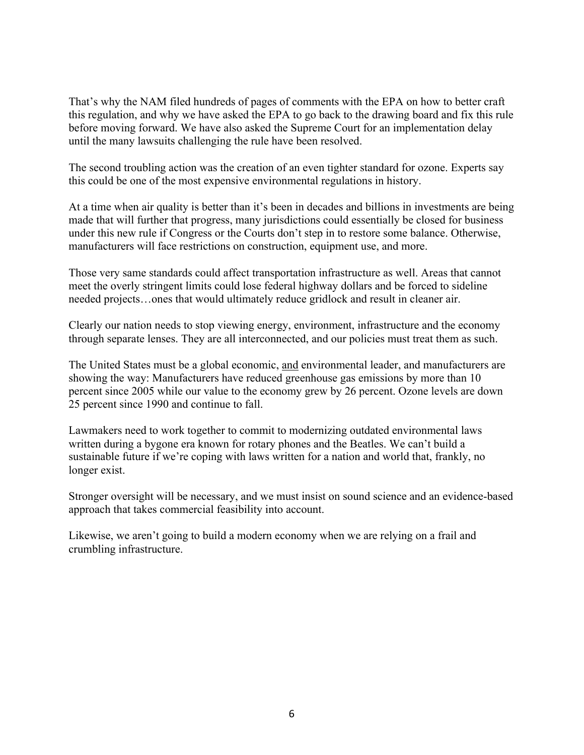That's why the NAM filed hundreds of pages of comments with the EPA on how to better craft this regulation, and why we have asked the EPA to go back to the drawing board and fix this rule before moving forward. We have also asked the Supreme Court for an implementation delay until the many lawsuits challenging the rule have been resolved.

The second troubling action was the creation of an even tighter standard for ozone. Experts say this could be one of the most expensive environmental regulations in history.

At a time when air quality is better than it's been in decades and billions in investments are being made that will further that progress, many jurisdictions could essentially be closed for business under this new rule if Congress or the Courts don't step in to restore some balance. Otherwise, manufacturers will face restrictions on construction, equipment use, and more.

Those very same standards could affect transportation infrastructure as well. Areas that cannot meet the overly stringent limits could lose federal highway dollars and be forced to sideline needed projects…ones that would ultimately reduce gridlock and result in cleaner air.

Clearly our nation needs to stop viewing energy, environment, infrastructure and the economy through separate lenses. They are all interconnected, and our policies must treat them as such.

The United States must be a global economic, and environmental leader, and manufacturers are showing the way: Manufacturers have reduced greenhouse gas emissions by more than 10 percent since 2005 while our value to the economy grew by 26 percent. Ozone levels are down 25 percent since 1990 and continue to fall.

Lawmakers need to work together to commit to modernizing outdated environmental laws written during a bygone era known for rotary phones and the Beatles. We can't build a sustainable future if we're coping with laws written for a nation and world that, frankly, no longer exist.

Stronger oversight will be necessary, and we must insist on sound science and an evidence-based approach that takes commercial feasibility into account.

Likewise, we aren't going to build a modern economy when we are relying on a frail and crumbling infrastructure.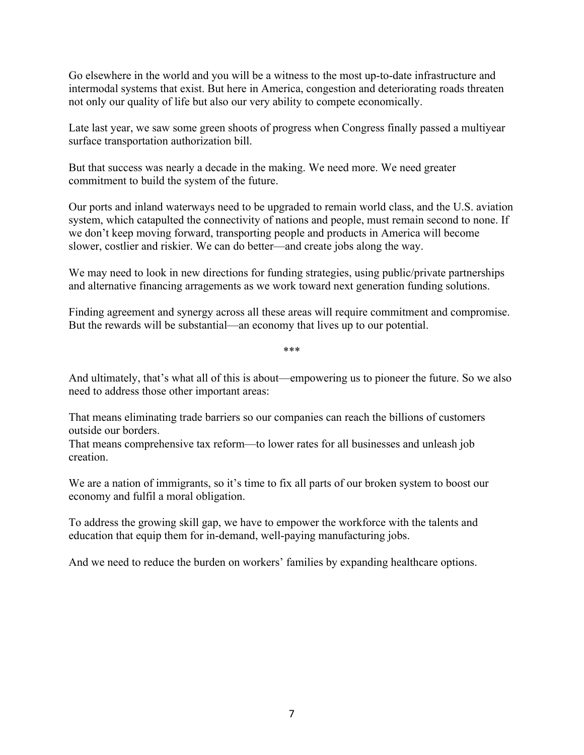Go elsewhere in the world and you will be a witness to the most up-to-date infrastructure and intermodal systems that exist. But here in America, congestion and deteriorating roads threaten not only our quality of life but also our very ability to compete economically.

Late last year, we saw some green shoots of progress when Congress finally passed a multiyear surface transportation authorization bill.

But that success was nearly a decade in the making. We need more. We need greater commitment to build the system of the future.

Our ports and inland waterways need to be upgraded to remain world class, and the U.S. aviation system, which catapulted the connectivity of nations and people, must remain second to none. If we don't keep moving forward, transporting people and products in America will become slower, costlier and riskier. We can do better—and create jobs along the way.

We may need to look in new directions for funding strategies, using public/private partnerships and alternative financing arragements as we work toward next generation funding solutions.

Finding agreement and synergy across all these areas will require commitment and compromise. But the rewards will be substantial—an economy that lives up to our potential.

\*\*\*

And ultimately, that's what all of this is about—empowering us to pioneer the future. So we also need to address those other important areas:

That means eliminating trade barriers so our companies can reach the billions of customers outside our borders.

That means comprehensive tax reform—to lower rates for all businesses and unleash job creation.

We are a nation of immigrants, so it's time to fix all parts of our broken system to boost our economy and fulfil a moral obligation.

To address the growing skill gap, we have to empower the workforce with the talents and education that equip them for in-demand, well-paying manufacturing jobs.

And we need to reduce the burden on workers' families by expanding healthcare options.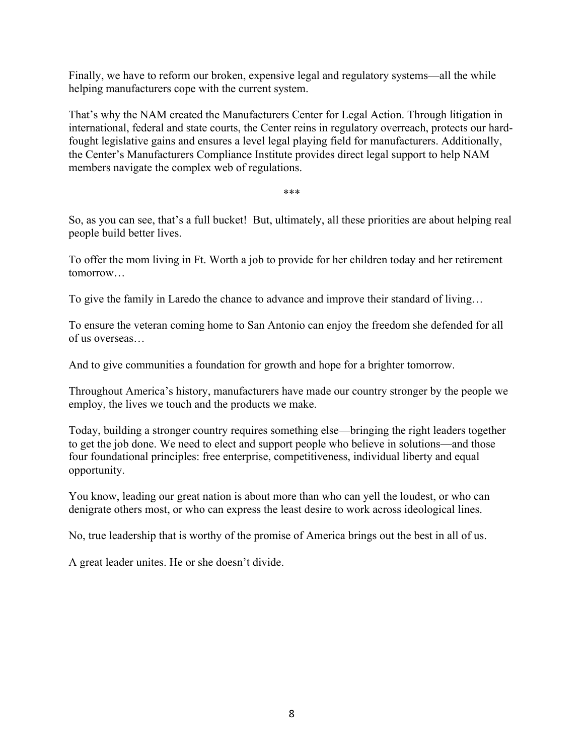Finally, we have to reform our broken, expensive legal and regulatory systems—all the while helping manufacturers cope with the current system.

That's why the NAM created the Manufacturers Center for Legal Action. Through litigation in international, federal and state courts, the Center reins in regulatory overreach, protects our hardfought legislative gains and ensures a level legal playing field for manufacturers. Additionally, the Center's Manufacturers Compliance Institute provides direct legal support to help NAM members navigate the complex web of regulations.

\*\*\*

So, as you can see, that's a full bucket! But, ultimately, all these priorities are about helping real people build better lives.

To offer the mom living in Ft. Worth a job to provide for her children today and her retirement tomorrow…

To give the family in Laredo the chance to advance and improve their standard of living…

To ensure the veteran coming home to San Antonio can enjoy the freedom she defended for all of us overseas…

And to give communities a foundation for growth and hope for a brighter tomorrow.

Throughout America's history, manufacturers have made our country stronger by the people we employ, the lives we touch and the products we make.

Today, building a stronger country requires something else—bringing the right leaders together to get the job done. We need to elect and support people who believe in solutions—and those four foundational principles: free enterprise, competitiveness, individual liberty and equal opportunity.

You know, leading our great nation is about more than who can yell the loudest, or who can denigrate others most, or who can express the least desire to work across ideological lines.

No, true leadership that is worthy of the promise of America brings out the best in all of us.

A great leader unites. He or she doesn't divide.